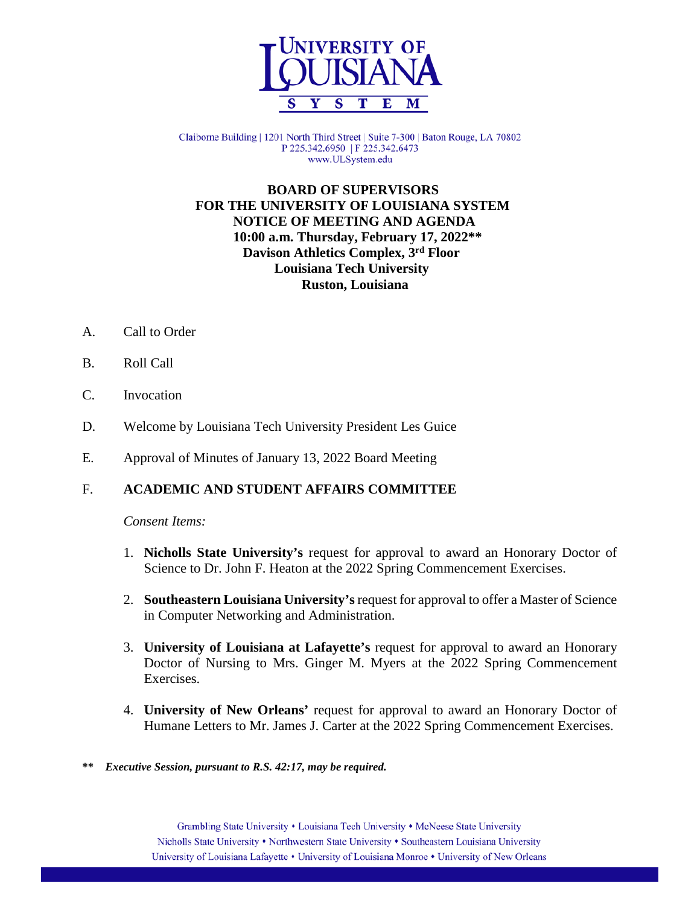

Claiborne Building | 1201 North Third Street | Suite 7-300 | Baton Rouge, LA 70802 P 225.342.6950 | F 225.342.6473 www.ULSystem.edu

 **BOARD OF SUPERVISORS FOR THE UNIVERSITY OF LOUISIANA SYSTEM NOTICE OF MEETING AND AGENDA 10:00 a.m. Thursday, February 17, 2022\*\* Davison Athletics Complex, 3rd Floor Louisiana Tech University Ruston, Louisiana**

- A. Call to Order
- B. Roll Call
- C. Invocation
- D. Welcome by Louisiana Tech University President Les Guice
- E. Approval of Minutes of January 13, 2022 Board Meeting

## F. **ACADEMIC AND STUDENT AFFAIRS COMMITTEE**

- 1. **Nicholls State University's** request for approval to award an Honorary Doctor of Science to Dr. John F. Heaton at the 2022 Spring Commencement Exercises.
- 2. **Southeastern Louisiana University's**request for approval to offer a Master of Science in Computer Networking and Administration.
- 3. **University of Louisiana at Lafayette's** request for approval to award an Honorary Doctor of Nursing to Mrs. Ginger M. Myers at the 2022 Spring Commencement Exercises.
- 4. **University of New Orleans'** request for approval to award an Honorary Doctor of Humane Letters to Mr. James J. Carter at the 2022 Spring Commencement Exercises.
- **\*\*** *Executive Session, pursuant to R.S. 42:17, may be required.*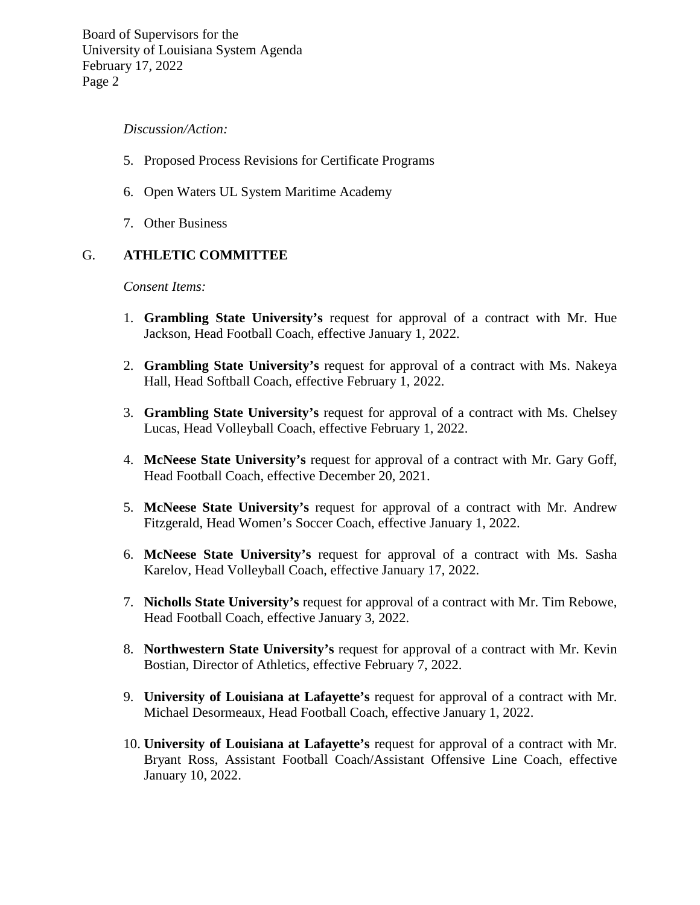## *Discussion/Action:*

- 5. Proposed Process Revisions for Certificate Programs
- 6. Open Waters UL System Maritime Academy
- 7. Other Business

## G. **ATHLETIC COMMITTEE**

- 1. **Grambling State University's** request for approval of a contract with Mr. Hue Jackson, Head Football Coach, effective January 1, 2022.
- 2. **Grambling State University's** request for approval of a contract with Ms. Nakeya Hall, Head Softball Coach, effective February 1, 2022.
- 3. **Grambling State University's** request for approval of a contract with Ms. Chelsey Lucas, Head Volleyball Coach, effective February 1, 2022.
- 4. **McNeese State University's** request for approval of a contract with Mr. Gary Goff, Head Football Coach, effective December 20, 2021.
- 5. **McNeese State University's** request for approval of a contract with Mr. Andrew Fitzgerald, Head Women's Soccer Coach, effective January 1, 2022.
- 6. **McNeese State University's** request for approval of a contract with Ms. Sasha Karelov, Head Volleyball Coach, effective January 17, 2022.
- 7. **Nicholls State University's** request for approval of a contract with Mr. Tim Rebowe, Head Football Coach, effective January 3, 2022.
- 8. **Northwestern State University's** request for approval of a contract with Mr. Kevin Bostian, Director of Athletics, effective February 7, 2022.
- 9. **University of Louisiana at Lafayette's** request for approval of a contract with Mr. Michael Desormeaux, Head Football Coach, effective January 1, 2022.
- 10. **University of Louisiana at Lafayette's** request for approval of a contract with Mr. Bryant Ross, Assistant Football Coach/Assistant Offensive Line Coach, effective January 10, 2022.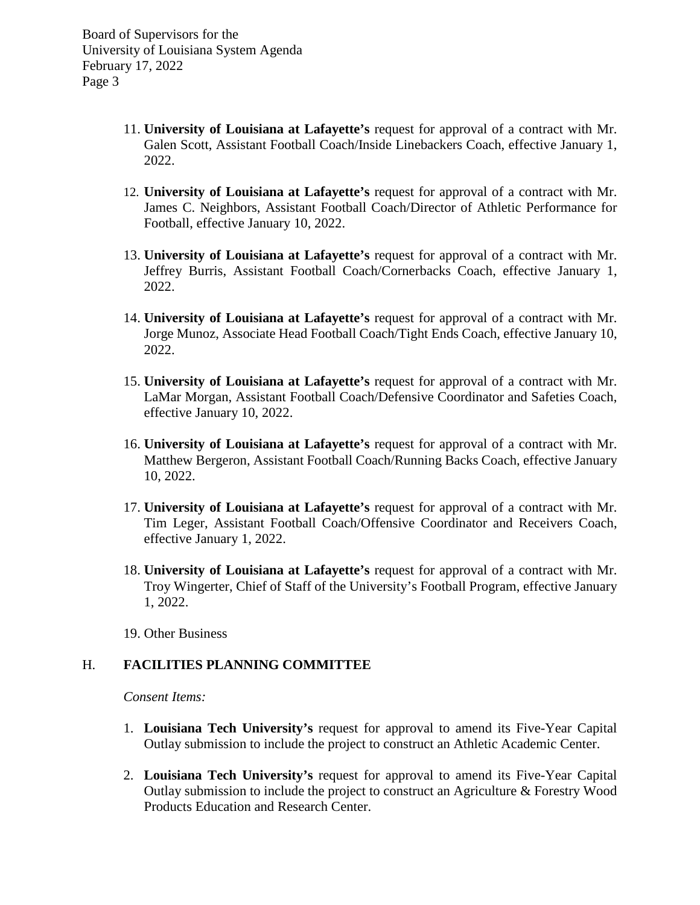- 11. **University of Louisiana at Lafayette's** request for approval of a contract with Mr. Galen Scott, Assistant Football Coach/Inside Linebackers Coach, effective January 1, 2022.
- 12. **University of Louisiana at Lafayette's** request for approval of a contract with Mr. James C. Neighbors, Assistant Football Coach/Director of Athletic Performance for Football, effective January 10, 2022.
- 13. **University of Louisiana at Lafayette's** request for approval of a contract with Mr. Jeffrey Burris, Assistant Football Coach/Cornerbacks Coach, effective January 1, 2022.
- 14. **University of Louisiana at Lafayette's** request for approval of a contract with Mr. Jorge Munoz, Associate Head Football Coach/Tight Ends Coach, effective January 10, 2022.
- 15. **University of Louisiana at Lafayette's** request for approval of a contract with Mr. LaMar Morgan, Assistant Football Coach/Defensive Coordinator and Safeties Coach, effective January 10, 2022.
- 16. **University of Louisiana at Lafayette's** request for approval of a contract with Mr. Matthew Bergeron, Assistant Football Coach/Running Backs Coach, effective January 10, 2022.
- 17. **University of Louisiana at Lafayette's** request for approval of a contract with Mr. Tim Leger, Assistant Football Coach/Offensive Coordinator and Receivers Coach, effective January 1, 2022.
- 18. **University of Louisiana at Lafayette's** request for approval of a contract with Mr. Troy Wingerter, Chief of Staff of the University's Football Program, effective January 1, 2022.
- 19. Other Business

## H. **FACILITIES PLANNING COMMITTEE**

- 1. **Louisiana Tech University's** request for approval to amend its Five-Year Capital Outlay submission to include the project to construct an Athletic Academic Center.
- 2. **Louisiana Tech University's** request for approval to amend its Five-Year Capital Outlay submission to include the project to construct an Agriculture & Forestry Wood Products Education and Research Center.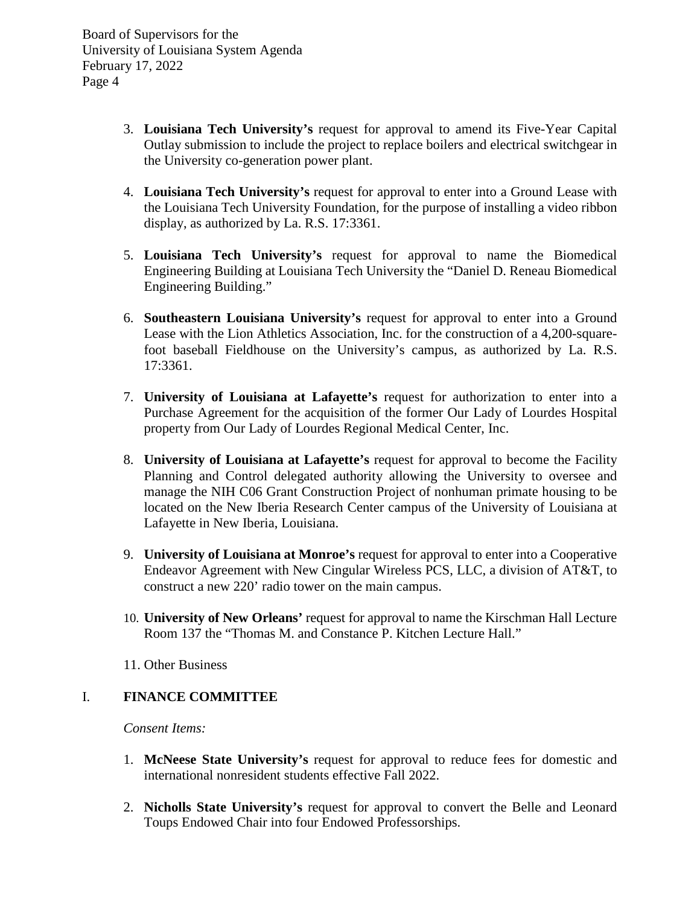- 3. **Louisiana Tech University's** request for approval to amend its Five-Year Capital Outlay submission to include the project to replace boilers and electrical switchgear in the University co-generation power plant.
- 4. **Louisiana Tech University's** request for approval to enter into a Ground Lease with the Louisiana Tech University Foundation, for the purpose of installing a video ribbon display, as authorized by La. R.S. 17:3361.
- 5. **Louisiana Tech University's** request for approval to name the Biomedical Engineering Building at Louisiana Tech University the "Daniel D. Reneau Biomedical Engineering Building."
- 6. **Southeastern Louisiana University's** request for approval to enter into a Ground Lease with the Lion Athletics Association, Inc. for the construction of a 4,200-squarefoot baseball Fieldhouse on the University's campus, as authorized by La. R.S. 17:3361.
- 7. **University of Louisiana at Lafayette's** request for authorization to enter into a Purchase Agreement for the acquisition of the former Our Lady of Lourdes Hospital property from Our Lady of Lourdes Regional Medical Center, Inc.
- 8. **University of Louisiana at Lafayette's** request for approval to become the Facility Planning and Control delegated authority allowing the University to oversee and manage the NIH C06 Grant Construction Project of nonhuman primate housing to be located on the New Iberia Research Center campus of the University of Louisiana at Lafayette in New Iberia, Louisiana.
- 9. **University of Louisiana at Monroe's** request for approval to enter into a Cooperative Endeavor Agreement with New Cingular Wireless PCS, LLC, a division of AT&T, to construct a new 220' radio tower on the main campus.
- 10. **University of New Orleans'** request for approval to name the Kirschman Hall Lecture Room 137 the "Thomas M. and Constance P. Kitchen Lecture Hall."
- 11. Other Business

# I. **FINANCE COMMITTEE**

- 1. **McNeese State University's** request for approval to reduce fees for domestic and international nonresident students effective Fall 2022.
- 2. **Nicholls State University's** request for approval to convert the Belle and Leonard Toups Endowed Chair into four Endowed Professorships.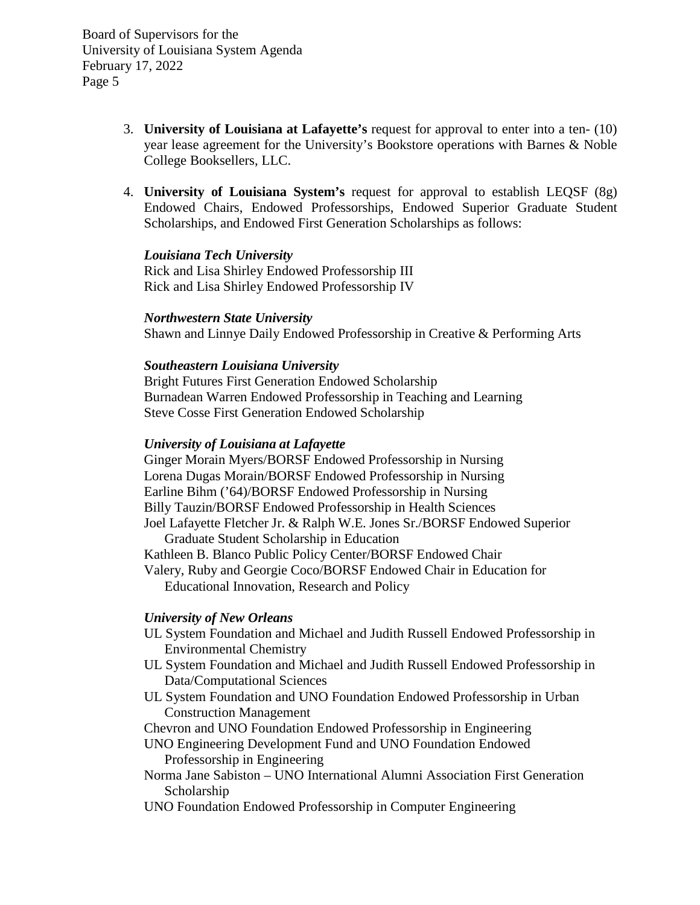- 3. **University of Louisiana at Lafayette's** request for approval to enter into a ten- (10) year lease agreement for the University's Bookstore operations with Barnes & Noble College Booksellers, LLC.
- 4. **University of Louisiana System's** request for approval to establish LEQSF (8g) Endowed Chairs, Endowed Professorships, Endowed Superior Graduate Student Scholarships, and Endowed First Generation Scholarships as follows:

## *Louisiana Tech University*

Rick and Lisa Shirley Endowed Professorship III Rick and Lisa Shirley Endowed Professorship IV

#### *Northwestern State University*

Shawn and Linnye Daily Endowed Professorship in Creative & Performing Arts

## *Southeastern Louisiana University*

Bright Futures First Generation Endowed Scholarship Burnadean Warren Endowed Professorship in Teaching and Learning Steve Cosse First Generation Endowed Scholarship

#### *University of Louisiana at Lafayette*

Ginger Morain Myers/BORSF Endowed Professorship in Nursing Lorena Dugas Morain/BORSF Endowed Professorship in Nursing Earline Bihm ('64)/BORSF Endowed Professorship in Nursing Billy Tauzin/BORSF Endowed Professorship in Health Sciences Joel Lafayette Fletcher Jr. & Ralph W.E. Jones Sr./BORSF Endowed Superior Graduate Student Scholarship in Education Kathleen B. Blanco Public Policy Center/BORSF Endowed Chair

Valery, Ruby and Georgie Coco/BORSF Endowed Chair in Education for Educational Innovation, Research and Policy

## *University of New Orleans*

- UL System Foundation and Michael and Judith Russell Endowed Professorship in Environmental Chemistry
- UL System Foundation and Michael and Judith Russell Endowed Professorship in Data/Computational Sciences
- UL System Foundation and UNO Foundation Endowed Professorship in Urban Construction Management

Chevron and UNO Foundation Endowed Professorship in Engineering

- UNO Engineering Development Fund and UNO Foundation Endowed Professorship in Engineering
- Norma Jane Sabiston UNO International Alumni Association First Generation Scholarship
- UNO Foundation Endowed Professorship in Computer Engineering